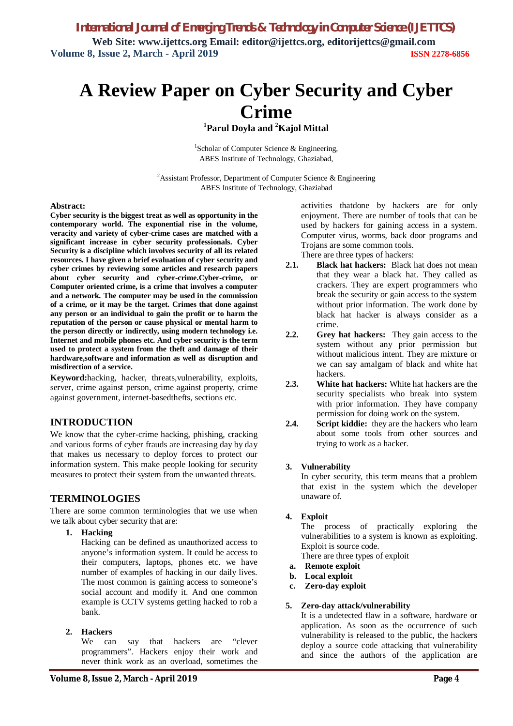*International Journal of Emerging Trends & Technology in Computer Science (IJETTCS)* **Web Site: www.ijettcs.org Email: editor@ijettcs.org, editorijettcs@gmail.com Volume 8, Issue 2, March - April 2019 ISSN 2278-6856**

# **A Review Paper on Cyber Security and Cyber Crime**

**<sup>1</sup>Parul Doyla and <sup>2</sup>Kajol Mittal**

<sup>1</sup>Scholar of Computer Science & Engineering, ABES Institute of Technology, Ghaziabad,

<sup>2</sup> Assistant Professor, Department of Computer Science & Engineering ABES Institute of Technology, Ghaziabad

#### **Abstract:**

**Cyber security is the biggest treat as well as opportunity in the contemporary world. The exponential rise in the volume, veracity and variety of cyber-crime cases are matched with a significant increase in cyber security professionals. Cyber Security is a discipline which involves security of all its related resources. I have given a brief evaluation of cyber security and cyber crimes by reviewing some articles and research papers about cyber security and cyber-crime.Cyber-crime, or Computer oriented crime, is a crime that involves a computer and a network. The computer may be used in the commission of a crime, or it may be the target. Crimes that done against any person or an individual to gain the profit or to harm the reputation of the person or cause physical or mental harm to the person directly or indirectly, using modern technology i.e. Internet and mobile phones etc. And cyber security is the term used to protect a system from the theft and damage of their hardware,software and information as well as disruption and misdirection of a service.**

**Keyword:**hacking, hacker, threats,vulnerability, exploits, server, crime against person, crime against property, crime against government, internet-basedthefts, sections etc.

### **INTRODUCTION**

We know that the cyber-crime hacking, phishing, cracking and various forms of cyber frauds are increasing day by day that makes us necessary to deploy forces to protect our information system. This make people looking for security measures to protect their system from the unwanted threats.

### **TERMINOLOGIES**

There are some common terminologies that we use when we talk about cyber security that are:

**1. Hacking** 

Hacking can be defined as unauthorized access to anyone's information system. It could be access to their computers, laptops, phones etc. we have number of examples of hacking in our daily lives. The most common is gaining access to someone's social account and modify it. And one common example is CCTV systems getting hacked to rob a bank.

#### **2. Hackers**

We can say that hackers are "clever programmers". Hackers enjoy their work and never think work as an overload, sometimes the

**Volume 8, Issue 2, March - April 2019 Page 4**

activities thatdone by hackers are for only enjoyment. There are number of tools that can be used by hackers for gaining access in a system. Computer virus, worms, back door programs and Trojans are some common tools.

There are three types of hackers:

- **2.1. Black hat hackers:** Black hat does not mean that they wear a black hat. They called as crackers. They are expert programmers who break the security or gain access to the system without prior information. The work done by black hat hacker is always consider as a crime.
- **2.2. Grey hat hackers:** They gain access to the system without any prior permission but without malicious intent. They are mixture or we can say amalgam of black and white hat hackers.
- **2.3. White hat hackers:** White hat hackers are the security specialists who break into system with prior information. They have company permission for doing work on the system.
- **2.4. Script kiddie:** they are the hackers who learn about some tools from other sources and trying to work as a hacker.

#### **3. Vulnerability**

In cyber security, this term means that a problem that exist in the system which the developer unaware of.

#### **4. Exploit**

The process of practically exploring the vulnerabilities to a system is known as exploiting. Exploit is source code.

There are three types of exploit

- **a. Remote exploit**
- **b. Local exploit**
- **c. Zero-day exploit**

#### **5. Zero-day attack/vulnerability**

It is a undetected flaw in a software, hardware or application. As soon as the occurrence of such vulnerability is released to the public, the hackers deploy a source code attacking that vulnerability and since the authors of the application are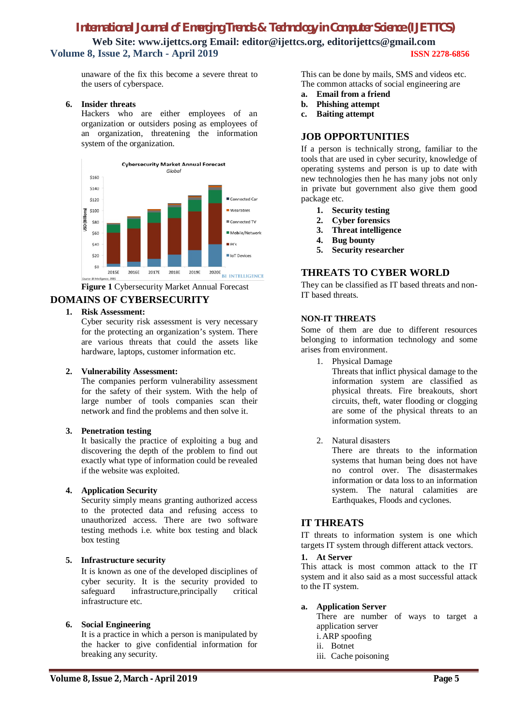# *International Journal of Emerging Trends & Technology in Computer Science (IJETTCS)*

**Web Site: www.ijettcs.org Email: editor@ijettcs.org, editorijettcs@gmail.com Volume 8, Issue 2, March - April 2019 ISSN 2278-6856**

unaware of the fix this become a severe threat to the users of cyberspace.

#### **6. Insider threats**

Hackers who are either employees of an organization or outsiders posing as employees of an organization, threatening the information system of the organization.



#### **Figure 1** Cybersecurity Market Annual Forecast **DOMAINS OF CYBERSECURITY**

#### **1. Risk Assessment:**

Cyber security risk assessment is very necessary for the protecting an organization's system. There are various threats that could the assets like hardware, laptops, customer information etc.

#### **2. Vulnerability Assessment:**

The companies perform vulnerability assessment for the safety of their system. With the help of large number of tools companies scan their network and find the problems and then solve it.

#### **3. Penetration testing**

It basically the practice of exploiting a bug and discovering the depth of the problem to find out exactly what type of information could be revealed if the website was exploited.

#### **4. Application Security**

Security simply means granting authorized access to the protected data and refusing access to unauthorized access. There are two software testing methods i.e. white box testing and black box testing

#### **5. Infrastructure security**

It is known as one of the developed disciplines of cyber security. It is the security provided to safeguard infrastructure, principally critical infrastructure etc.

#### **6. Social Engineering**

It is a practice in which a person is manipulated by the hacker to give confidential information for breaking any security.

This can be done by mails, SMS and videos etc. The common attacks of social engineering are

- **a. Email from a friend**
- **b. Phishing attempt**
- **c. Baiting attempt**

# **JOB OPPORTUNITIES**

If a person is technically strong, familiar to the tools that are used in cyber security, knowledge of operating systems and person is up to date with new technologies then he has many jobs not only in private but government also give them good package etc.

- **1. Security testing**
- **2. Cyber forensics**
- **3. Threat intelligence**
- 
- **4. Bug bounty 5. Security researcher**

# **THREATS TO CYBER WORLD**

They can be classified as IT based threats and non-IT based threats.

# **NON-IT THREATS**

Some of them are due to different resources belonging to information technology and some arises from environment.

1. Physical Damage

Threats that inflict physical damage to the information system are classified as physical threats. Fire breakouts, short circuits, theft, water flooding or clogging are some of the physical threats to an information system.

2. Natural disasters

There are threats to the information systems that human being does not have no control over. The disastermakes information or data loss to an information system. The natural calamities are Earthquakes, Floods and cyclones.

# **IT THREATS**

IT threats to information system is one which targets IT system through different attack vectors.

#### **1. At Server**

This attack is most common attack to the IT system and it also said as a most successful attack to the IT system.

#### **a. Application Server**

There are number of ways to target a application server

- i.ARP spoofing ii. Botnet
- iii. Cache poisoning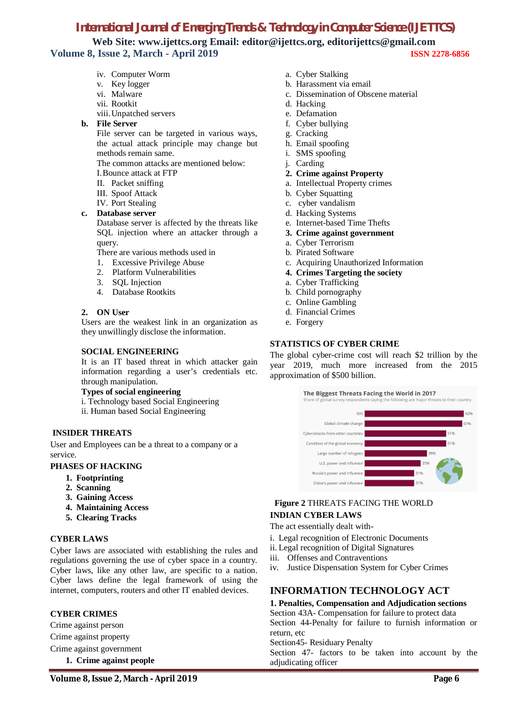# *International Journal of Emerging Trends & Technology in Computer Science (IJETTCS)*

**Web Site: www.ijettcs.org Email: editor@ijettcs.org, editorijettcs@gmail.com Volume 8, Issue 2, March - April 2019 ISSN 2278-6856**

- iv. Computer Worm
- v. Key logger
- vi. Malware
- vii. Rootkit
- viii.Unpatched servers

#### **b. File Server**

File server can be targeted in various ways, the actual attack principle may change but methods remain same.

The common attacks are mentioned below:

- I.Bounce attack at FTP
- II. Packet sniffing
- III. Spoof Attack
- IV. Port Stealing

#### **c. Database server**

Database server is affected by the threats like SQL injection where an attacker through a query.

There are various methods used in

- 1. Excessive Privilege Abuse<br>2. Platform Vulnerabilities
- 2. Platform Vulnerabilities
- 3. SQL Injection
- 4. Database Rootkits

#### **2. ON User**

Users are the weakest link in an organization as they unwillingly disclose the information.

#### **SOCIAL ENGINEERING**

It is an IT based threat in which attacker gain information regarding a user's credentials etc. through manipulation.

#### **Types of social engineering**

- i. Technology based Social Engineering
- ii. Human based Social Engineering

#### **INSIDER THREATS**

User and Employees can be a threat to a company or a service.

#### **PHASES OF HACKING**

- **1. Footprinting**
- **2. Scanning**
- **3. Gaining Access**
- **4. Maintaining Access**
- **5. Clearing Tracks**

#### **CYBER LAWS**

Cyber laws are associated with establishing the rules and regulations governing the use of cyber space in a country. Cyber laws, like any other law, are specific to a nation. Cyber laws define the legal framework of using the internet, computers, routers and other IT enabled devices.

#### **CYBER CRIMES**

Crime against person Crime against property Crime against government

**1. Crime against people**

- a. Cyber Stalking
- b. Harassment via email
- c. Dissemination of Obscene material
- d. Hacking
- e. Defamation
- f. Cyber bullying
- g. Cracking
- h. Email spoofing
- i. SMS spoofing
- j. Carding
- **2. Crime against Property**
- a. Intellectual Property crimes
- b. Cyber Squatting
- c. cyber vandalism
- d. Hacking Systems
- e. Internet-based Time Thefts
- **3. Crime against government**
- a. Cyber Terrorism
- b. Pirated Software
- c. Acquiring Unauthorized Information
- **4. Crimes Targeting the society**
- a. Cyber Trafficking
- b. Child pornography
- c. Online Gambling
- d. Financial Crimes
- e. Forgery

#### **STATISTICS OF CYBER CRIME**

The global cyber-crime cost will reach \$2 trillion by the year 2019, much more increased from the 2015 approximation of \$500 billion.



# **Figure 2** THREATS FACING THE WORLD **INDIAN CYBER LAWS**

#### The act essentially dealt with-

- i. Legal recognition of Electronic Documents
- ii. Legal recognition of Digital Signatures
- iii. Offenses and Contraventions
- iv. Justice Dispensation System for Cyber Crimes

# **INFORMATION TECHNOLOGY ACT**

**1. Penalties, Compensation and Adjudication sections** Section 43A- Compensation for failure to protect data Section 44-Penalty for failure to furnish information or

return, etc Section45- Residuary Penalty

Section 47- factors to be taken into account by the

adjudicating officer